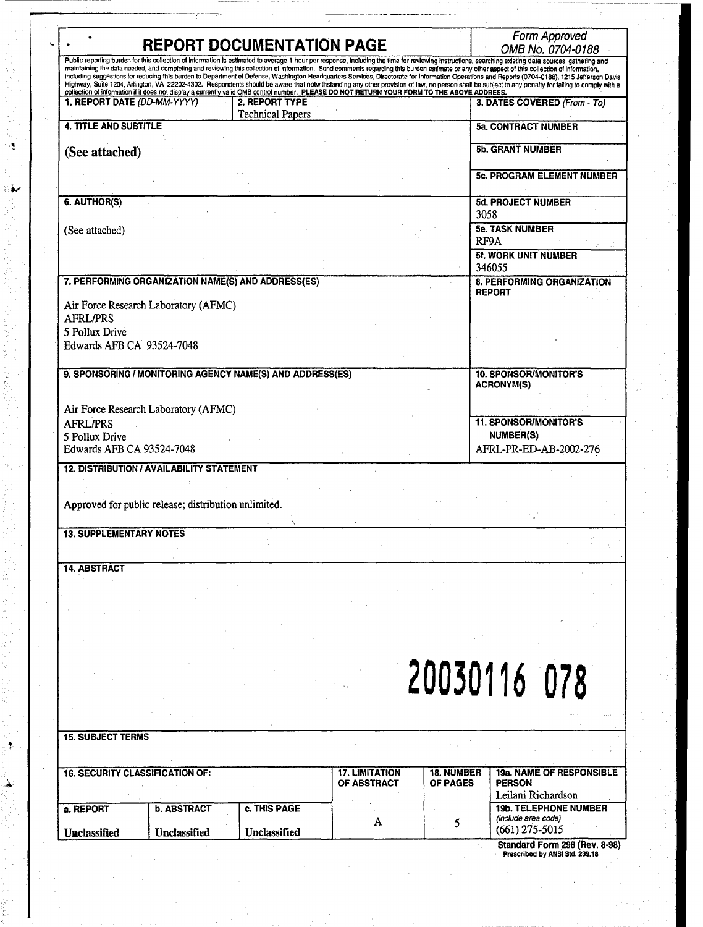| <b>REPORT DOCUMENTATION PAGE</b>                               |                                                      |                                                                                                                                                               |                                      |                                      | Form Approved<br>OMB No. 0704-0188                                                                                                                                                                                                                                                                                                                                                                                                                                                                                                                                                                                                                                                                                                                                                                              |  |
|----------------------------------------------------------------|------------------------------------------------------|---------------------------------------------------------------------------------------------------------------------------------------------------------------|--------------------------------------|--------------------------------------|-----------------------------------------------------------------------------------------------------------------------------------------------------------------------------------------------------------------------------------------------------------------------------------------------------------------------------------------------------------------------------------------------------------------------------------------------------------------------------------------------------------------------------------------------------------------------------------------------------------------------------------------------------------------------------------------------------------------------------------------------------------------------------------------------------------------|--|
|                                                                |                                                      |                                                                                                                                                               |                                      |                                      | Public reporting burden for this collection of information is estimated to average 1 hour per response, including the time for reviewing instructions, searching existing data sources, gathering and<br>maintaining the data needed, and completing and reviewing this collection of information. Send comments regarding this burden estimate or any other aspect of this collection of information,<br>including suggestions for reducing this burden to Department of Defense, Washington Headquarters Services, Directorate for Information Operations and Reports (0704-0188), 1215 Jefferson Davis<br>Highway, Suite 1204, Arlington, VA 22202-4302. Respondents should be aware that notwithstanding any other provision of law, no person shall be subject to any penalty for failing to comply with a |  |
| 1. REPORT DATE (DD-MM-YYYY)                                    |                                                      | collection of information if it does not display a currently valid OMB control number. PLEASE DO NOT RETURN YOUR FORM TO THE ABOVE ADDRESS.<br>2. REPORT TYPE |                                      |                                      | 3. DATES COVERED (From - To)                                                                                                                                                                                                                                                                                                                                                                                                                                                                                                                                                                                                                                                                                                                                                                                    |  |
| 4. TITLE AND SUBTITLE                                          |                                                      | <b>Technical Papers</b>                                                                                                                                       |                                      |                                      | <b>5a. CONTRACT NUMBER</b>                                                                                                                                                                                                                                                                                                                                                                                                                                                                                                                                                                                                                                                                                                                                                                                      |  |
| (See attached)                                                 |                                                      |                                                                                                                                                               |                                      |                                      | <b>5b. GRANT NUMBER</b>                                                                                                                                                                                                                                                                                                                                                                                                                                                                                                                                                                                                                                                                                                                                                                                         |  |
|                                                                |                                                      |                                                                                                                                                               |                                      |                                      | <b>5c. PROGRAM ELEMENT NUMBER</b>                                                                                                                                                                                                                                                                                                                                                                                                                                                                                                                                                                                                                                                                                                                                                                               |  |
| 6. AUTHOR(S)                                                   |                                                      |                                                                                                                                                               |                                      |                                      | <b>5d. PROJECT NUMBER</b>                                                                                                                                                                                                                                                                                                                                                                                                                                                                                                                                                                                                                                                                                                                                                                                       |  |
| (See attached)                                                 |                                                      |                                                                                                                                                               |                                      |                                      | 3058<br><b>5e. TASK NUMBER</b>                                                                                                                                                                                                                                                                                                                                                                                                                                                                                                                                                                                                                                                                                                                                                                                  |  |
|                                                                |                                                      |                                                                                                                                                               |                                      |                                      | RF9A<br>5f. WORK UNIT NUMBER<br>346055                                                                                                                                                                                                                                                                                                                                                                                                                                                                                                                                                                                                                                                                                                                                                                          |  |
|                                                                |                                                      | 7. PERFORMING ORGANIZATION NAME(S) AND ADDRESS(ES)                                                                                                            |                                      |                                      | 8. PERFORMING ORGANIZATION<br><b>REPORT</b>                                                                                                                                                                                                                                                                                                                                                                                                                                                                                                                                                                                                                                                                                                                                                                     |  |
| <b>AFRL/PRS</b><br>5 Pollux Drive<br>Edwards AFB CA 93524-7048 | Air Force Research Laboratory (AFMC)                 |                                                                                                                                                               |                                      |                                      |                                                                                                                                                                                                                                                                                                                                                                                                                                                                                                                                                                                                                                                                                                                                                                                                                 |  |
| 9. SPONSORING / MONITORING AGENCY NAME(S) AND ADDRESS(ES)      |                                                      |                                                                                                                                                               |                                      |                                      | <b>10. SPONSOR/MONITOR'S</b><br>ACRONYM(S)                                                                                                                                                                                                                                                                                                                                                                                                                                                                                                                                                                                                                                                                                                                                                                      |  |
| <b>AFRL/PRS</b><br>5 Pollux Drive<br>Edwards AFB CA 93524-7048 | Air Force Research Laboratory (AFMC)                 |                                                                                                                                                               |                                      |                                      | <b>11. SPONSOR/MONITOR'S</b><br><b>NUMBER(S)</b><br>AFRL-PR-ED-AB-2002-276                                                                                                                                                                                                                                                                                                                                                                                                                                                                                                                                                                                                                                                                                                                                      |  |
|                                                                | <b>12. DISTRIBUTION / AVAILABILITY STATEMENT</b>     |                                                                                                                                                               |                                      |                                      |                                                                                                                                                                                                                                                                                                                                                                                                                                                                                                                                                                                                                                                                                                                                                                                                                 |  |
|                                                                | Approved for public release; distribution unlimited. |                                                                                                                                                               |                                      |                                      |                                                                                                                                                                                                                                                                                                                                                                                                                                                                                                                                                                                                                                                                                                                                                                                                                 |  |
| <b>13. SUPPLEMENTARY NOTES</b>                                 |                                                      |                                                                                                                                                               |                                      |                                      |                                                                                                                                                                                                                                                                                                                                                                                                                                                                                                                                                                                                                                                                                                                                                                                                                 |  |
| <b>14. ABSTRACT</b>                                            |                                                      |                                                                                                                                                               |                                      |                                      |                                                                                                                                                                                                                                                                                                                                                                                                                                                                                                                                                                                                                                                                                                                                                                                                                 |  |
|                                                                |                                                      |                                                                                                                                                               |                                      |                                      |                                                                                                                                                                                                                                                                                                                                                                                                                                                                                                                                                                                                                                                                                                                                                                                                                 |  |
|                                                                |                                                      |                                                                                                                                                               |                                      |                                      |                                                                                                                                                                                                                                                                                                                                                                                                                                                                                                                                                                                                                                                                                                                                                                                                                 |  |
|                                                                |                                                      |                                                                                                                                                               |                                      |                                      | 20030116 078                                                                                                                                                                                                                                                                                                                                                                                                                                                                                                                                                                                                                                                                                                                                                                                                    |  |
|                                                                |                                                      |                                                                                                                                                               |                                      |                                      |                                                                                                                                                                                                                                                                                                                                                                                                                                                                                                                                                                                                                                                                                                                                                                                                                 |  |
| <b>15. SUBJECT TERMS</b>                                       |                                                      |                                                                                                                                                               |                                      |                                      |                                                                                                                                                                                                                                                                                                                                                                                                                                                                                                                                                                                                                                                                                                                                                                                                                 |  |
| <b>16. SECURITY CLASSIFICATION OF:</b>                         |                                                      |                                                                                                                                                               | <b>17. LIMITATION</b><br>OF ABSTRACT | <b>18. NUMBER</b><br><b>OF PAGES</b> | 19a. NAME OF RESPONSIBLE<br><b>PERSON</b>                                                                                                                                                                                                                                                                                                                                                                                                                                                                                                                                                                                                                                                                                                                                                                       |  |
| a. REPORT                                                      | <b>b. ABSTRACT</b>                                   | c. THIS PAGE                                                                                                                                                  | A                                    | 5                                    | Leilani Richardson<br><b>19b. TELEPHONE NUMBER</b><br>(include area code)                                                                                                                                                                                                                                                                                                                                                                                                                                                                                                                                                                                                                                                                                                                                       |  |
| <b>Unclassified</b>                                            | <b>Unclassified</b>                                  | <b>Unclassified</b>                                                                                                                                           |                                      |                                      | $(661)$ 275-5015                                                                                                                                                                                                                                                                                                                                                                                                                                                                                                                                                                                                                                                                                                                                                                                                |  |

 $\ddot{\ddot{\psi}}$ 

 $\frac{1}{2}$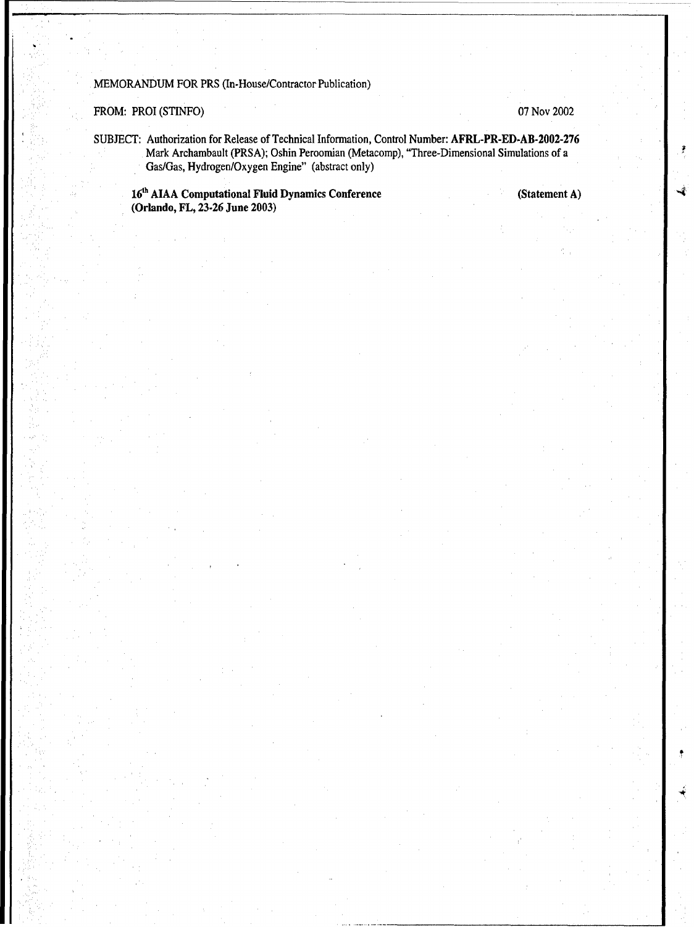MEMORANDUM FOR PRS (In.House/Contractor Publication)

FROM: PROI (STINFO) 07 Nov 2002

SUBJECT: Authorization for Release of Technical Information, Control Number: AFRL-PR-ED-AB-2002-276 Mark Archambault (PRSA); Oshin Peroomian (Metacomp), "Three-Dimensional Simulations of a Gas/Gas, Hydrogen/Oxygen Engine" (abstract only)

16<sup>th</sup> AIAA Computational Fluid Dynamics Conference (Statement A) (Orlando, FL, **23-26** June **2003)**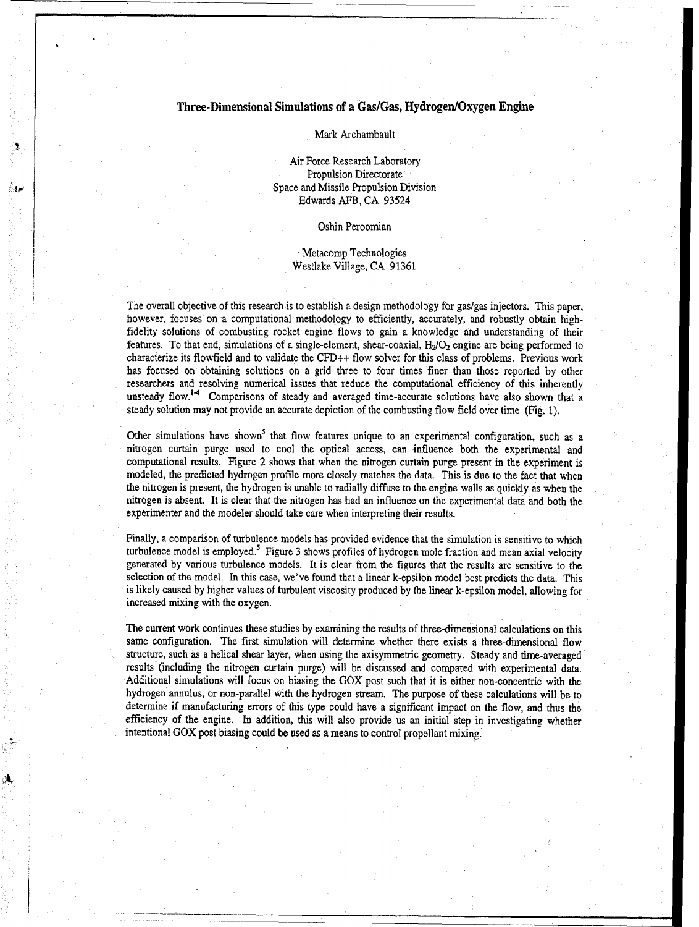### Three-Dimensional Simulations of a Gas/Gas, Hydrogen/Oxygen Engine

Mark Archambault

Air Force Research Laboratory Propulsion Directorate Space and Missile Propulsion Division Edwards AFB, CA 93524

#### Oshin Peroomian

#### Metacomp Technologies Westlake Village, CA 91361

The overall objective of this research is to establish a design methodology for gas/gas injectors. This paper, however, focuses on a computational methodology to efficiently, accurately, and robustly obtain highfidelity solutions of combusting rocket engine flows to gain a knowledge and understanding of their features. To that end, simulations of a single-element, shear-coaxial,  $H_2/O_2$  engine are being performed to characterize its flowfield and to validate the CFD++ flow solver for this class of problems. Previous work has focused on obtaining solutions on a grid three to four times finer than those reported by other researchers and resolving numerical issues that reduce the computational efficiency of this inherently unsteady flow.<sup>14</sup> Comparisons of steady and averaged time-accurate solutions have also shown that a steady solution may not provide an accurate depiction of the combusting flow field over time (Fig. 1).

Other simulations have shown<sup>5</sup> that flow features unique to an experimental configuration, such as a nitrogen curtain purge used to cool the optical access, can influence both the experimental and computational results. Figure 2 shows that when the nitrogen curtain purge present in the experiment is modeled, the predicted hydrogen profile more closely matches the data. This is due to the fact that when the nitrogen is present, the hydrogen is unable to radially diffuse to the engine walls as quickly as when the nitrogen is absent. It is clear that the nitrogen has had an influence on the experimental data and both the experimenter and the modeler should take care when interpreting their results.

Finally, a comparison of turbulence models has provided evidence that the simulation is sensitive to which turbulence model is employed.<sup>5</sup> Figure 3 shows profiles of hydrogen mole fraction and mean axial velocity generated by various turbulence models. It is clear from the figures that the results are sensitive to the selection of the model. In this case, we've found that a linear k-epsilon model best predicts the data. This is likely caused by higher values of turbulent viscosity produced by the linear k-epsilon model, allowing for increased mixing with the oxygen.

The current work continues these studies by examining the results of three-dimensional calculations on this same configuration. The first simulation will determine whether there exists a three-dimensional flow structure, such as a helical shear layer, when using the axisymmetric geometry. Steady and time-averaged results (including the nitrogen curtain purge) will be discussed and compared with experimental data. Additional simulations will focus on biasing the GOX post such that it is either non-concentric with the hydrogen annulus, or non-parallel with the hydrogen stream. The purpose of these calculations will be to determine if manufacturing errors of this type could have a significant impact on the flow, and thus the efficiency of the engine. In addition, this will also provide us an initial step in investigating whether intentional GOX post biasing could be used as a means to control propellant mixing.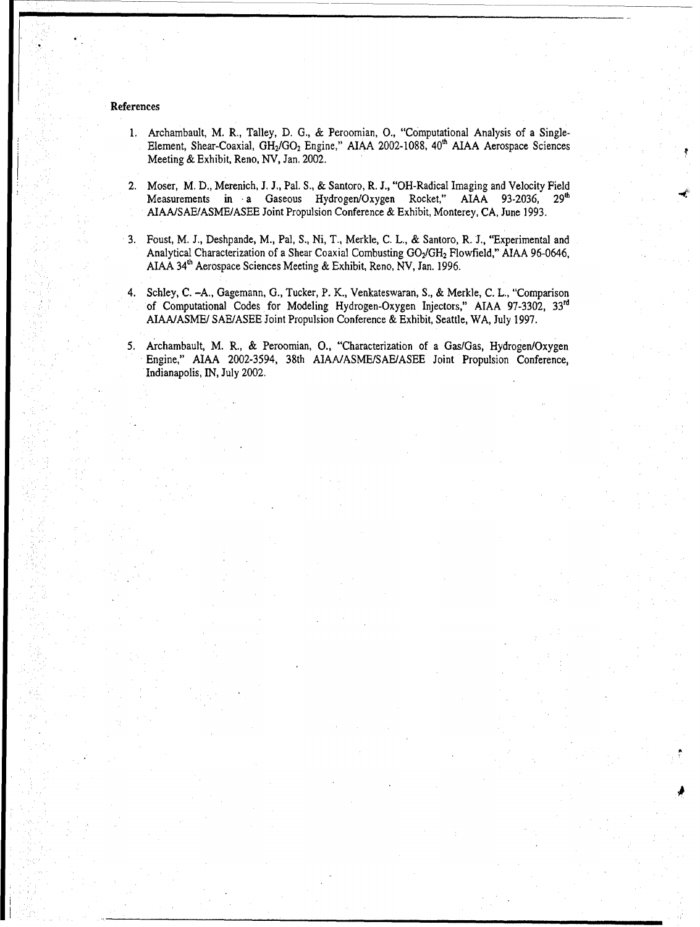#### References

- 1. Archambault, M. R., Talley, D. G., & Peroomian, **0.,** "Computational Analysis of a Single-Element, Shear-Coaxial, GH<sub>2</sub>/GO<sub>2</sub> Engine," AIAA 2002-1088, 40<sup>th</sup> AIAA Aerospace Sciences Meeting & Exhibit, Reno, NV, Jan. 2002.
- 2. Moser, M. D., Merenich, J. J., Pal. S., & Santoro, R. **J.,** "OH-Radical Imaging and Velocity Field Measurements in a Gaseous Hydrogen/Oxygen Rocket," AIAA 93-2036, 29<sup>th</sup> AIAAISAE/ASME/ASEE Joint Propulsion Conference & Exhibit, Monterey, CA, June 1993.
- **3.** Foust, M. **J.,** Deshpande, M., Pal, S., Ni, T., Merkle, C. L., & Santoro, R. **J.,** 'Experimental and Analytical Characterization of a Shear Coaxial Combusting GO<sub>2</sub>/GH<sub>2</sub> Flowfield," AIAA 96-0646, AIAA 34"h Aerospace Sciences Meeting & Exhibit, Reno, NV, Jan. 1996.
- 4. Schley, C. -A., Gagemann, G., Tucker, P. K., Venkateswaran, S., & Merkle, C. L., "Comparison of Computational Codes for Modeling Hydrogen-Oxygen Injectors," AIAA 97-3302, **33Id** AIAAIASME/ SAE/ASEE Joint Propulsion Conference & Exhibit, Seattle, WA, July 1997.
- 5. Archambault, M. R., & Peroomian, **0.,** "Characterization of a Gas/Gas, Hydrogen/Oxygen Engine," AIAA 2002-3594, 38th A]AA/ASME/SAE/ASEE Joint Propulsion Conference, Indianapolis, IN, July 2002.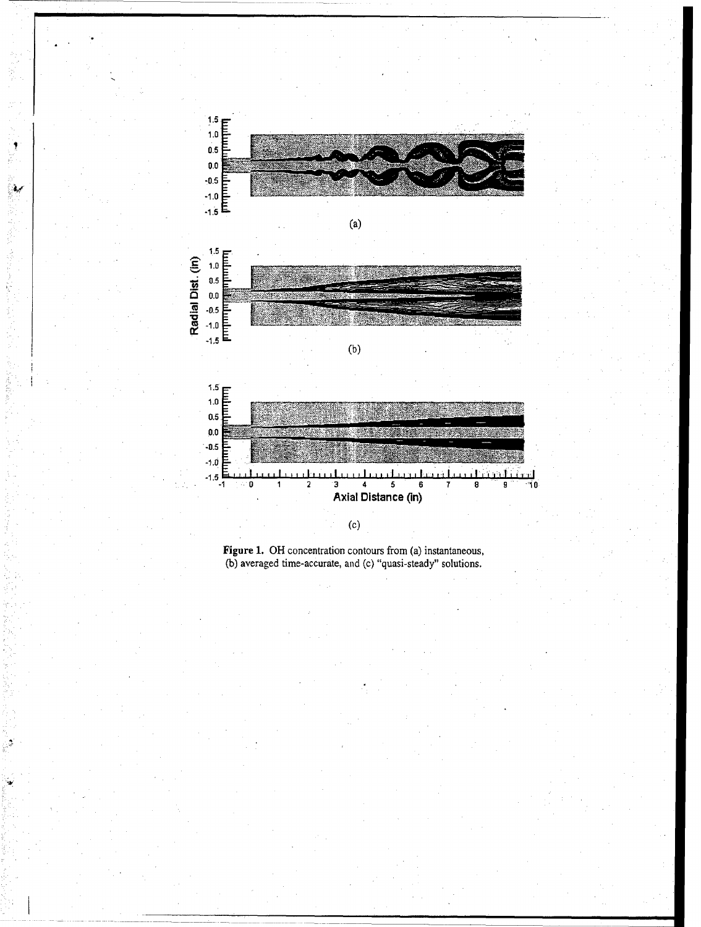

्



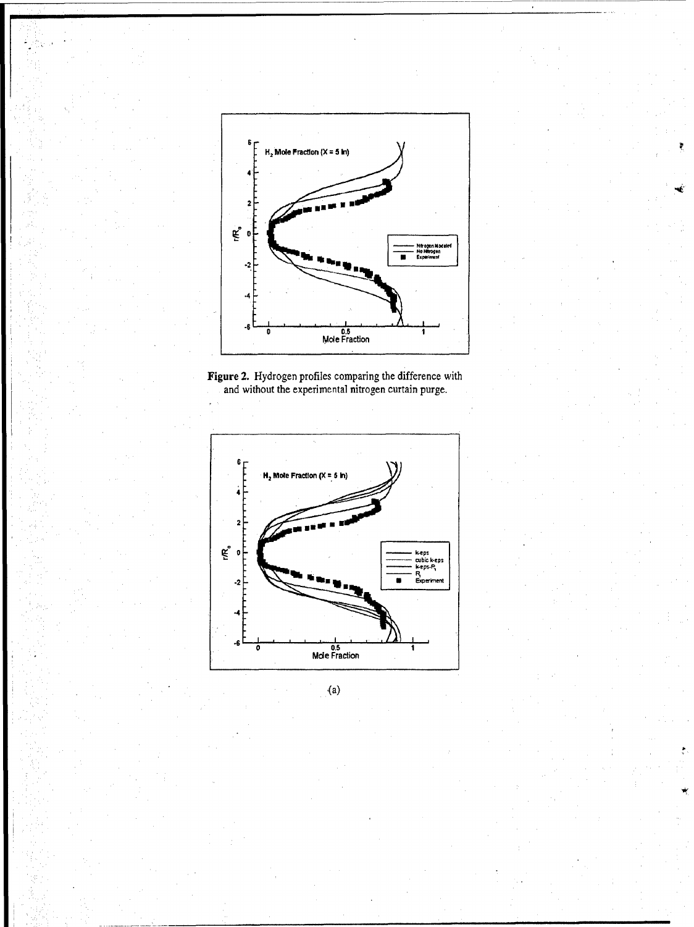

ŧ





 $(a)$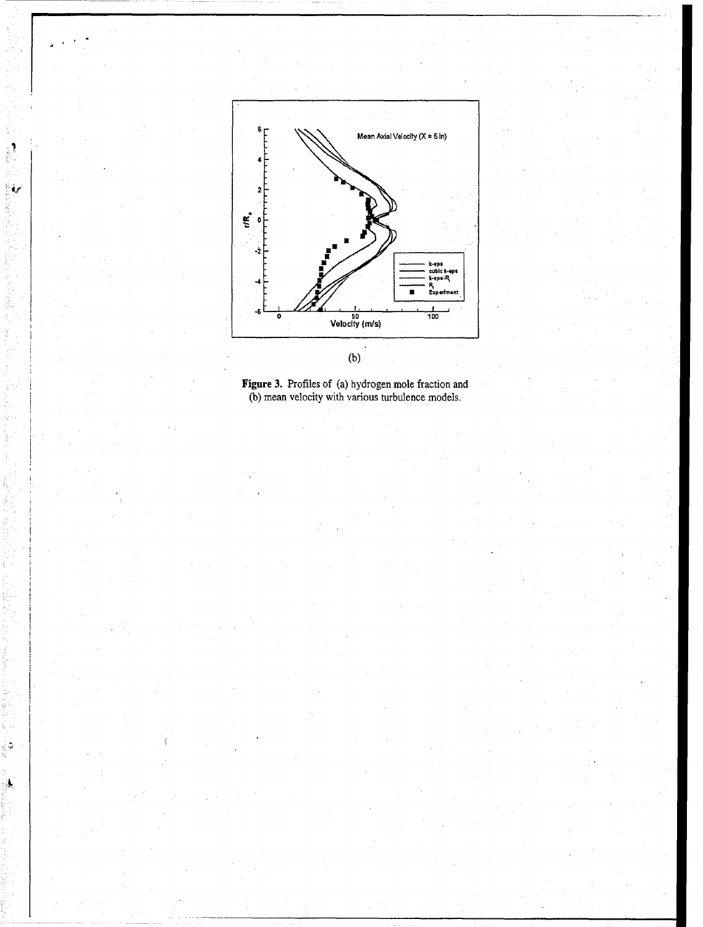

۷